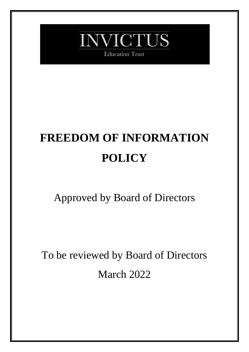

**Education Trust** 

# **FREEDOM OF INFORMATION POLICY**

# Approved by Board of Directors

To be reviewed by Board of Directors March 2022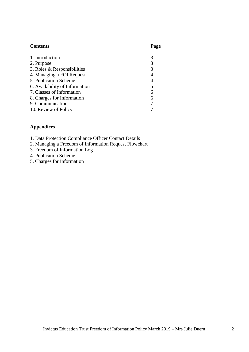### **Contents Page**

| 1. Introduction                |                |
|--------------------------------|----------------|
| 2. Purpose                     | 3              |
| 3. Roles & Responsibilities    | 3              |
| 4. Managing a FOI Request      | $\overline{4}$ |
| 5. Publication Scheme          | 4              |
| 6. Availability of Information | 5              |
| 7. Classes of Information      | 6              |
| 8. Charges for Information     | 6              |
| 9. Communication               |                |
| 10. Review of Policy           |                |

# **Appendices**

|  |  |  |  | 1. Data Protection Compliance Officer Contact Details |  |  |  |
|--|--|--|--|-------------------------------------------------------|--|--|--|
|--|--|--|--|-------------------------------------------------------|--|--|--|

- 2. Managing a Freedom of Information Request Flowchart
- 3. Freedom of Information Log
- 4. Publication Scheme
- 5. Charges for Information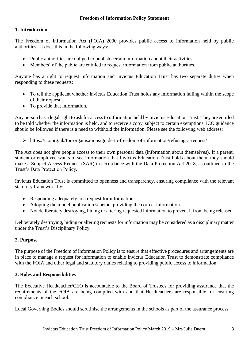# **1. Introduction**

The Freedom of Information Act (FOIA) 2000 provides public access to information held by public authorities. It does this in the following ways:

- Public authorities are obliged to publish certain information about their activities
- Members' of the public are entitled to request information from public authorities.

Anyone has a right to request information and Invictus Education Trust has two separate duties when responding to these requests:

- To tell the applicant whether Invictus Education Trust holds any information falling within the scope of their request
- To provide that information.

Any person has a legal right to ask for access to information held by Invictus Education Trust. They are entitled to be told whether the information is held, and to receive a copy, subject to certain exemptions. ICO guidance should be followed if there is a need to withhold the information. Please see the following web address:

https://ico.org.uk/for-organisations/guide-to-freedom-of-information/refusing-a-request/

The Act does not give people access to their own personal data (information about themselves). If a parent, student or employee wants to see information that Invictus Education Trust holds about them, they should make a Subject Access Request (SAR) in accordance with the Data Protection Act 2018, as outlined in the Trust's Data Protection Policy.

Invictus Education Trust is committed to openness and transparency, ensuring compliance with the relevant statutory framework by:

- Responding adequately to a request for information
- Adopting the model publication scheme, providing the correct information
- Not deliberately destroying, hiding or altering requested information to prevent it from being released.

Deliberately destroying, hiding or altering requests for information may be considered as a disciplinary matter under the Trust's Disciplinary Policy.

#### **2. Purpose**

The purpose of the Freedom of Information Policy is to ensure that effective procedures and arrangements are in place to manage a request for information to enable Invictus Education Trust to demonstrate compliance with the FOIA and other legal and statutory duties relating to providing public access to information.

#### **3. Roles and Responsibilities**

The Executive Headteacher/CEO is accountable to the Board of Trustees for providing assurance that the requirements of the FOIA are being complied with and that Headteachers are responsible for ensuring compliance in each school.

Local Governing Bodies should scrutinise the arrangements in the schools as part of the assurance process.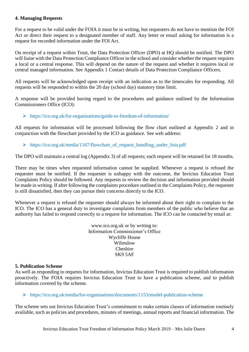#### **4. Managing Requests**

For a request to be valid under the FOIA it must be in writing, but requesters do not have to mention the FOI Act or direct their request to a designated member of staff. Any letter or email asking for information is a request for recorded information under the FOI Act.

On receipt of a request within Trust, the Data Protection Officer (DPO) at HQ should be notified. The DPO will liaise with the Data Protection Compliance Officer in the school and consider whether the request requires a local or a central response. This will depend on the nature of the request and whether it requires local or central managed information. See Appendix 1 Contact details of Data Protection Compliance Officers.

All requests will be acknowledged upon receipt with an indication as to the timescales for responding. All requests will be responded to within the 20 day (school day) statutory time limit.

A response will be provided having regard to the procedures and guidance outlined by the Information Commissioners Office (ICO):

https://ico.org.uk/for-organisations/guide-to-freedom-of-information/

All requests for information will be processed following the flow chart outlined at Appendix 2 and in conjunction with the flowchart provided by the ICO as guidance. See web address:

> https://ico.org.uk/media/1167/flowchart of request handling under foia.pdf

The DPO will maintain a central log (Appendix 3) of all requests; each request will be retained for 18 months.

There may be times when requested information cannot be supplied. Whenever a request is refused the requester must be notified. If the requester is unhappy with the outcome, the Invictus Education Trust Complaints Policy should be followed. Any requests to review the decision and information provided should be made in writing. If after following the complaints procedure outlined in the Complaints Policy, the requester is still dissatisfied, then they can pursue their concerns directly to the ICO.

Whenever a request is refused the requester should always be informed about their right to complain to the ICO. The ICO has a general duty to investigate complaints from members of the public who believe that an authority has failed to respond correctly to a request for information. The ICO can be contacted by email at:

> www.ico.org.uk or by writing to: Information Commissioner's Office Wycliffe House Wilmslow Cheshire SK9 5AF

#### **5. Publication Scheme**

As well as responding to requests for information, Invictus Education Trust is required to publish information proactively. The FOIA requires Invictus Education Trust to have a publication scheme, and to publish information covered by the scheme.

#### <https://ico.org.uk/media/for-organisations/documents/1153/model-publication-scheme>

The scheme sets out Invictus Education Trust's commitment to make certain classes of information routinely available, such as policies and procedures, minutes of meetings, annual reports and financial information. The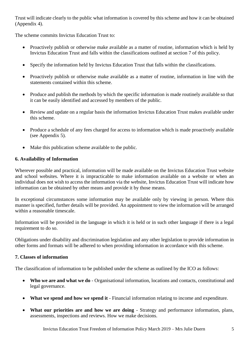Trust will indicate clearly to the public what information is covered by this scheme and how it can be obtained (Appendix 4).

The scheme commits Invictus Education Trust to:

- Proactively publish or otherwise make available as a matter of routine, information which is held by Invictus Education Trust and falls within the classifications outlined at section 7 of this policy.
- Specify the information held by Invictus Education Trust that falls within the classifications.
- Proactively publish or otherwise make available as a matter of routine, information in line with the statements contained within this scheme.
- Produce and publish the methods by which the specific information is made routinely available so that it can be easily identified and accessed by members of the public.
- Review and update on a regular basis the information Invictus Education Trust makes available under this scheme.
- Produce a schedule of any fees charged for access to information which is made proactively available (see Appendix 5).
- Make this publication scheme available to the public.

# **6. Availability of Information**

Wherever possible and practical, information will be made available on the Invictus Education Trust website and school websites. Where it is impracticable to make information available on a website or when an individual does not wish to access the information via the website, Invictus Education Trust will indicate how information can be obtained by other means and provide it by those means.

In exceptional circumstances some information may be available only by viewing in person. Where this manner is specified, further details will be provided. An appointment to view the information will be arranged within a reasonable timescale.

Information will be provided in the language in which it is held or in such other language if there is a legal requirement to do so.

Obligations under disability and discrimination legislation and any other legislation to provide information in other forms and formats will be adhered to when providing information in accordance with this scheme.

# **7. Classes of information**

The classification of information to be published under the scheme as outlined by the ICO as follows:

- **Who we are and what we do**  Organisational information, locations and contacts, constitutional and legal governance.
- **What we spend and how we spend it** Financial information relating to income and expenditure.
- **What our priorities are and how we are doing** Strategy and performance information, plans, assessments, inspections and reviews. How we make decisions.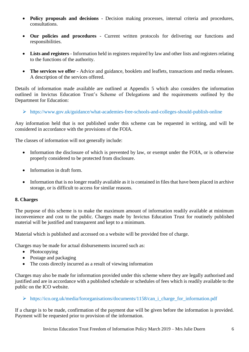- **Policy proposals and decisions** Decision making processes, internal criteria and procedures, consultations.
- **Our policies and procedures** Current written protocols for delivering our functions and responsibilities.
- **Lists and registers**  Information held in registers required by law and other lists and registers relating to the functions of the authority.
- **The services we offer** Advice and guidance, booklets and leaflets, transactions and media releases. A description of the services offered.

Details of information made available are outlined at Appendix 5 which also considers the information outlined in Invictus Education Trust's Scheme of Delegations and the requirements outlined by the Department for Education:

https://www.gov.uk/guidance/what-academies-free-schools-and-colleges-should-publish-online

Any information held that is not published under this scheme can be requested in writing, and will be considered in accordance with the provisions of the FOIA.

The classes of information will not generally include:

- Information the disclosure of which is prevented by law, or exempt under the FOIA, or is otherwise properly considered to be protected from disclosure.
- Information in draft form.
- Information that is no longer readily available as it is contained in files that have been placed in archive storage, or is difficult to access for similar reasons.

#### **8. Charges**

The purpose of this scheme is to make the maximum amount of information readily available at minimum inconvenience and cost to the public. Charges made by Invictus Education Trust for routinely published material will be justified and transparent and kept to a minimum.

Material which is published and accessed on a website will be provided free of charge.

Charges may be made for actual disbursements incurred such as:

- Photocopying
- Postage and packaging
- The costs directly incurred as a result of viewing information

Charges may also be made for information provided under this scheme where they are legally authorised and justified and are in accordance with a published schedule or schedules of fees which is readily available to the public on the ICO website.

#### https://ico.org.uk/media/fororganisations/documents/1158/can\_i\_charge\_for\_information.pdf

If a charge is to be made, confirmation of the payment due will be given before the information is provided. Payment will be requested prior to provision of the information.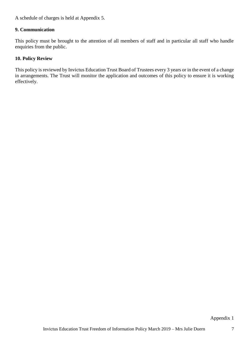A schedule of charges is held at Appendix 5.

#### **9. Communication**

This policy must be brought to the attention of all members of staff and in particular all staff who handle enquiries from the public.

# **10. Policy Review**

This policy is reviewed by Invictus Education Trust Board of Trustees every 3 years or in the event of a change in arrangements. The Trust will monitor the application and outcomes of this policy to ensure it is working effectively.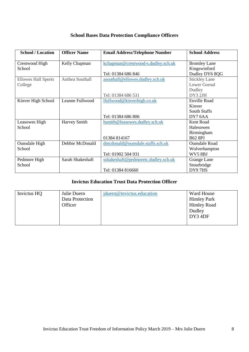| <b>School Bases Data Protection Compliance Officers</b> |  |  |  |
|---------------------------------------------------------|--|--|--|
|---------------------------------------------------------|--|--|--|

| <b>School / Location</b>   | <b>Officer Name</b> | <b>Email Address/Telephone Number</b> | <b>School Address</b> |
|----------------------------|---------------------|---------------------------------------|-----------------------|
| Crestwood High             | Kelly Chapman       | kchapman@crestwood-s.dudley.sch.uk    | <b>Bromley Lane</b>   |
| School                     |                     |                                       | Kingswinford          |
|                            |                     | Tel: 01384 686 846                    | Dudley DY6 8QG        |
| <b>Ellowes Hall Sports</b> | Anthea Southall     | asouthall@ellowes.dudley.sch.uk       | <b>Stickley Lane</b>  |
| College                    |                     |                                       | <b>Lower Gornal</b>   |
|                            |                     |                                       | Dudley                |
|                            |                     | Tel: 01384 686 531                    | DY3 2JH               |
| Kinver High School         | Leanne Fullwood     | lfullwood@kinverhigh.co.uk            | <b>Enville Road</b>   |
|                            |                     |                                       | Kinver                |
|                            |                     |                                       | <b>South Staffs</b>   |
|                            |                     | Tel: 01384 686 806                    | DY7 6AA               |
| Leasowes High              | Harvey Smith        | hsmith@leasowes.dudley.sch.uk         | Kent Road             |
| School                     |                     |                                       | Halesowen             |
|                            |                     |                                       | Birmingham            |
|                            |                     | 01384 814167                          | <b>B62 8PJ</b>        |
| <b>Ounsdale High</b>       | Debbie McDonald     | dmcdonald@ounsdale.staffs.sch.uk      | <b>Ounsdale Road</b>  |
| School                     |                     |                                       | Wolverhampton         |
|                            |                     | Tel: 01902 504 931                    | WV58BJ                |
| Pedmore High               | Sarah Shakeshaft    | sshakeshaft@pedmoretc.dudley.sch.uk   | Grange Lane           |
| School                     |                     |                                       | Stourbridge           |
|                            |                     | Tel: 01384 816660                     | DY97HS                |

# **Invictus Education Trust Data Protection Officer**

| Invictus HQ<br>Julie Duern<br>Data Protection<br>Officer | jduern@invictus.education | Ward House<br><b>Himley Park</b><br><b>Himley Road</b><br>Dudley<br>$DY3$ 4DF |
|----------------------------------------------------------|---------------------------|-------------------------------------------------------------------------------|
|----------------------------------------------------------|---------------------------|-------------------------------------------------------------------------------|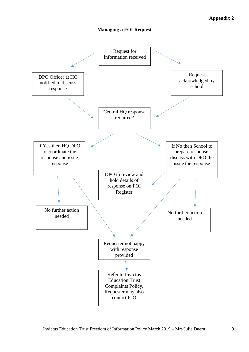# **Appendix 2**

#### **Managing a FOI Request**

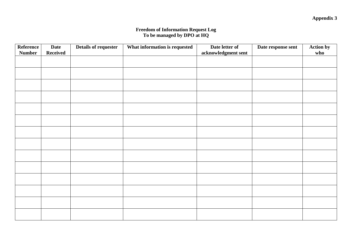#### **Freedom of Information Request Log To be managed by DPO at HQ**

| <b>Reference</b> | <b>Date</b>     | Details of requester | What information is requested | Date letter of      | Date response sent | <b>Action by</b> |
|------------------|-----------------|----------------------|-------------------------------|---------------------|--------------------|------------------|
| <b>Number</b>    | <b>Received</b> |                      |                               | acknowledgment sent |                    | who              |
|                  |                 |                      |                               |                     |                    |                  |
|                  |                 |                      |                               |                     |                    |                  |
|                  |                 |                      |                               |                     |                    |                  |
|                  |                 |                      |                               |                     |                    |                  |
|                  |                 |                      |                               |                     |                    |                  |
|                  |                 |                      |                               |                     |                    |                  |
|                  |                 |                      |                               |                     |                    |                  |
|                  |                 |                      |                               |                     |                    |                  |
|                  |                 |                      |                               |                     |                    |                  |
|                  |                 |                      |                               |                     |                    |                  |
|                  |                 |                      |                               |                     |                    |                  |
|                  |                 |                      |                               |                     |                    |                  |
|                  |                 |                      |                               |                     |                    |                  |
|                  |                 |                      |                               |                     |                    |                  |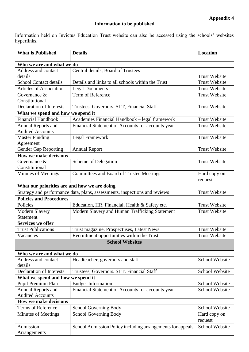# **Information to be published**

Information held on Invictus Education Trust website can also be accessed using the schools' websites hyperlinks.

| <b>What is Published</b>                     | <b>Details</b>                                                             | Location              |  |  |
|----------------------------------------------|----------------------------------------------------------------------------|-----------------------|--|--|
| Who we are and what we do                    |                                                                            |                       |  |  |
| Address and contact                          | Central details, Board of Trustees                                         |                       |  |  |
| details                                      |                                                                            | <b>Trust Website</b>  |  |  |
| <b>School Contact details</b>                | Details and links to all schools within the Trust                          | <b>Trust Website</b>  |  |  |
| <b>Articles of Association</b>               | <b>Legal Documents</b>                                                     | <b>Trust Website</b>  |  |  |
| Governance &                                 | Term of Reference                                                          | <b>Trust Website</b>  |  |  |
| Constitutional                               |                                                                            |                       |  |  |
| <b>Declaration of Interests</b>              | Trustees, Governors. SLT, Financial Staff                                  | <b>Trust Website</b>  |  |  |
| What we spend and how we spend it            |                                                                            |                       |  |  |
| <b>Financial Handbook</b>                    | Academies Financial Handbook - legal framework                             | <b>Trust Website</b>  |  |  |
| Annual Reports and                           | Financial Statement of Accounts for accounts year                          | <b>Trust Website</b>  |  |  |
| <b>Audited Accounts</b>                      |                                                                            |                       |  |  |
| <b>Master Funding</b>                        | Legal Framework                                                            | <b>Trust Website</b>  |  |  |
| Agreement                                    |                                                                            |                       |  |  |
| <b>Gender Gap Reporting</b>                  | <b>Annual Report</b>                                                       | <b>Trust Website</b>  |  |  |
| <b>How we make decisions</b>                 |                                                                            |                       |  |  |
| Governance $\&$                              | Scheme of Delegation                                                       | <b>Trust Website</b>  |  |  |
| Constitutional<br><b>Minutes of Meetings</b> | <b>Committees and Board of Trustee Meetings</b>                            | Hard copy on          |  |  |
|                                              |                                                                            | request               |  |  |
| What our priorities are and how we are doing |                                                                            |                       |  |  |
|                                              | Strategy and performance data, plans, assessments, inspections and reviews | <b>Trust Website</b>  |  |  |
| <b>Policies and Procedures</b>               |                                                                            |                       |  |  |
| Policies                                     | Education, HR, Financial, Health & Safety etc.                             | <b>Trust Website</b>  |  |  |
| <b>Modern Slavery</b>                        | Modern Slavery and Human Trafficking Statement                             | <b>Trust Website</b>  |  |  |
| <b>Statement</b>                             |                                                                            |                       |  |  |
| <b>Services we offer</b>                     |                                                                            |                       |  |  |
| <b>Trust Publications</b>                    | Trust magazine, Prospectuses, Latest News                                  | <b>Trust Website</b>  |  |  |
| Vacancies                                    | Recruitment opportunities within the Trust                                 | <b>Trust Website</b>  |  |  |
|                                              | <b>School Websites</b>                                                     |                       |  |  |
|                                              |                                                                            |                       |  |  |
| Who we are and what we do                    |                                                                            |                       |  |  |
| Address and contact                          | Headteacher, governors and staff                                           | School Website        |  |  |
| details                                      |                                                                            |                       |  |  |
| <b>Declaration of Interests</b>              | Trustees, Governors. SLT, Financial Staff                                  | School Website        |  |  |
| What we spend and how we spend it            |                                                                            |                       |  |  |
| Pupil Premium Plan                           | <b>Budget Information</b>                                                  | School Website        |  |  |
| Annual Reports and                           | Financial Statement of Accounts for accounts year                          | <b>School Website</b> |  |  |
| <b>Audited Accounts</b>                      |                                                                            |                       |  |  |
| How we make decisions                        |                                                                            |                       |  |  |
| <b>Terms of Reference</b>                    | School Governing Body                                                      | <b>School Website</b> |  |  |
| <b>Minutes of Meetings</b>                   | School Governing Body                                                      | Hard copy on          |  |  |
|                                              |                                                                            | request               |  |  |
| Admission                                    | School Admission Policy including arrangements for appeals                 | School Website        |  |  |
| Arrangements                                 |                                                                            |                       |  |  |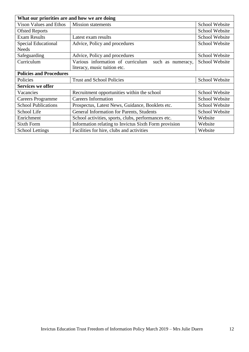| What our priorities are and how we are doing |                                                                  |                       |  |  |
|----------------------------------------------|------------------------------------------------------------------|-----------------------|--|--|
| Vison Values and Ethos                       | <b>Mission statements</b>                                        | School Website        |  |  |
| <b>Ofsted Reports</b>                        |                                                                  | School Website        |  |  |
| <b>Exam Results</b>                          | Latest exam results                                              | School Website        |  |  |
| <b>Special Educational</b>                   | Advice, Policy and procedures                                    | School Website        |  |  |
| <b>Needs</b>                                 |                                                                  |                       |  |  |
| Safeguarding                                 | Advice, Policy and procedures                                    | School Website        |  |  |
| Curriculum                                   | Various information of curriculum such as numeracy,              | School Website        |  |  |
|                                              | literacy, music tuition etc.                                     |                       |  |  |
| <b>Policies and Procedures</b>               |                                                                  |                       |  |  |
| Policies                                     | <b>Trust and School Policies</b>                                 | School Website        |  |  |
| <b>Services we offer</b>                     |                                                                  |                       |  |  |
| Vacancies                                    | Recruitment opportunities within the school                      | School Website        |  |  |
| <b>Careers Programme</b>                     | <b>Careers Information</b>                                       | <b>School Website</b> |  |  |
| <b>School Publications</b>                   | Prospectus, Latest News, Guidance, Booklets etc.                 | <b>School Website</b> |  |  |
| School Life                                  | General Information for Parents, Students<br>School Website      |                       |  |  |
| Enrichment                                   | Website<br>School activities, sports, clubs, performances etc.   |                       |  |  |
| Sixth Form                                   | Information relating to Invictus Sixth Form provision<br>Website |                       |  |  |
| <b>School Lettings</b>                       | Facilities for hire, clubs and activities<br>Website             |                       |  |  |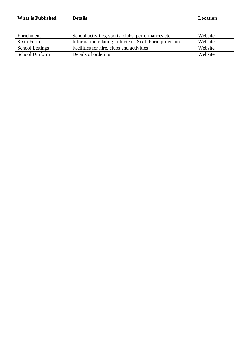| <b>What is Published</b> | <b>Details</b>                                        | <b>Location</b> |
|--------------------------|-------------------------------------------------------|-----------------|
|                          |                                                       |                 |
|                          |                                                       |                 |
| Enrichment               | School activities, sports, clubs, performances etc.   | Website         |
| Sixth Form               | Information relating to Invictus Sixth Form provision | Website         |
| <b>School Lettings</b>   | Facilities for hire, clubs and activities             | Website         |
| School Uniform           | Details of ordering                                   | Website         |